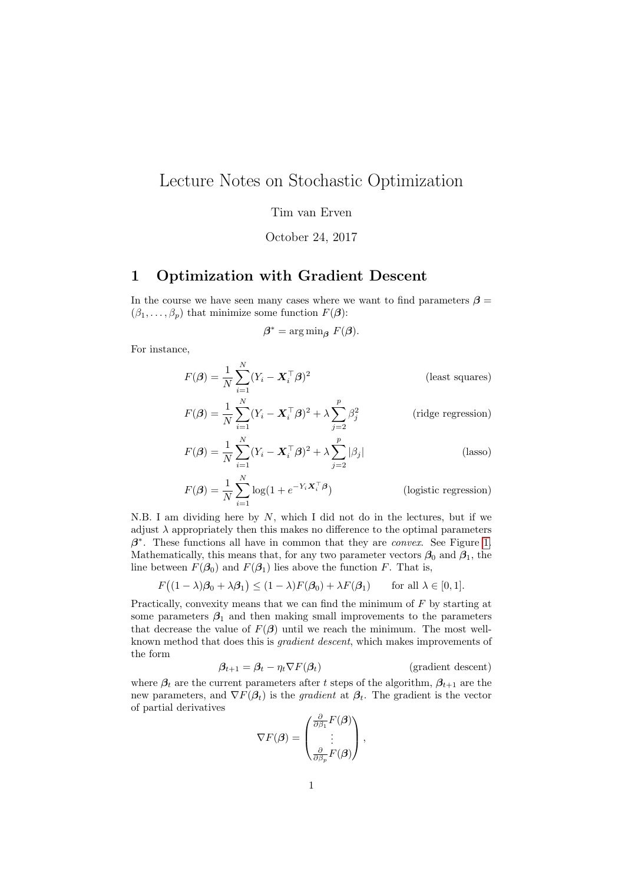## Lecture Notes on Stochastic Optimization

Tim van Erven

October 24, 2017

## 1 Optimization with Gradient Descent

In the course we have seen many cases where we want to find parameters  $\beta =$  $(\beta_1, \ldots, \beta_p)$  that minimize some function  $F(\beta)$ :

$$
\beta^* = \arg\min_{\beta} F(\beta).
$$

For instance,

$$
F(\boldsymbol{\beta}) = \frac{1}{N} \sum_{i=1}^{N} (Y_i - \boldsymbol{X}_i^{\top} \boldsymbol{\beta})^2
$$
 (least squares)  

$$
F(\boldsymbol{\beta}) = \frac{1}{N} \sum_{i=1}^{N} (Y_i - \boldsymbol{X}_i^{\top} \boldsymbol{\beta})^2 + \lambda \sum_{i=1}^{P} \beta_i^2
$$
 (ridge regression)

$$
F(\boldsymbol{\beta}) = \frac{1}{N} \sum_{i=1}^{N} (Y_i - \boldsymbol{X}_i^{\top} \boldsymbol{\beta})^2 + \lambda \sum_{j=2}^{\infty} \beta_j^2
$$
 (ridge regression)  

$$
F(\boldsymbol{\beta}) = \frac{1}{N} \sum_{i=1}^{N} (Y_i - \boldsymbol{X}_i^{\top} \boldsymbol{\beta})^2 + \lambda \sum_{j=2}^{p} |\beta_j|
$$
 (lasso)

$$
F(\boldsymbol{\beta}) = \frac{1}{N} \sum_{i=1}^{N} (Y_i - \boldsymbol{X}_i^{\top} \boldsymbol{\beta})^2 + \lambda \sum_{j=2}^{P} |\beta_j|
$$
 (lasso)

$$
F(\boldsymbol{\beta}) = \frac{1}{N} \sum_{i=1}^{N} \log(1 + e^{-Y_i \boldsymbol{X}_i^\top \boldsymbol{\beta}})
$$
 (logistic regression)

N.B. I am dividing here by  $N$ , which I did not do in the lectures, but if we adjust  $\lambda$  appropriately then this makes no difference to the optimal parameters  $\beta^*$ . These functions all have in common that they are *convex*. See Figure [1.](#page-1-0) Mathematically, this means that, for any two parameter vectors  $\beta_0$  and  $\beta_1$ , the line between  $F(\beta_0)$  and  $F(\beta_1)$  lies above the function F. That is,

$$
F((1 - \lambda)\beta_0 + \lambda\beta_1) \le (1 - \lambda)F(\beta_0) + \lambda F(\beta_1) \quad \text{for all } \lambda \in [0, 1].
$$

Practically, convexity means that we can find the minimum of F by starting at some parameters  $\beta_1$  and then making small improvements to the parameters that decrease the value of  $F(\beta)$  until we reach the minimum. The most wellknown method that does this is gradient descent, which makes improvements of the form

$$
\beta_{t+1} = \beta_t - \eta_t \nabla F(\beta_t)
$$
 (gradient descent)

where  $\beta_t$  are the current parameters after t steps of the algorithm,  $\beta_{t+1}$  are the new parameters, and  $\nabla F(\beta_t)$  is the *gradient* at  $\beta_t$ . The gradient is the vector of partial derivatives

$$
\nabla F(\boldsymbol{\beta}) = \begin{pmatrix} \frac{\partial}{\partial \beta_1} F(\boldsymbol{\beta}) \\ \vdots \\ \frac{\partial}{\partial \beta_p} F(\boldsymbol{\beta}) \end{pmatrix},
$$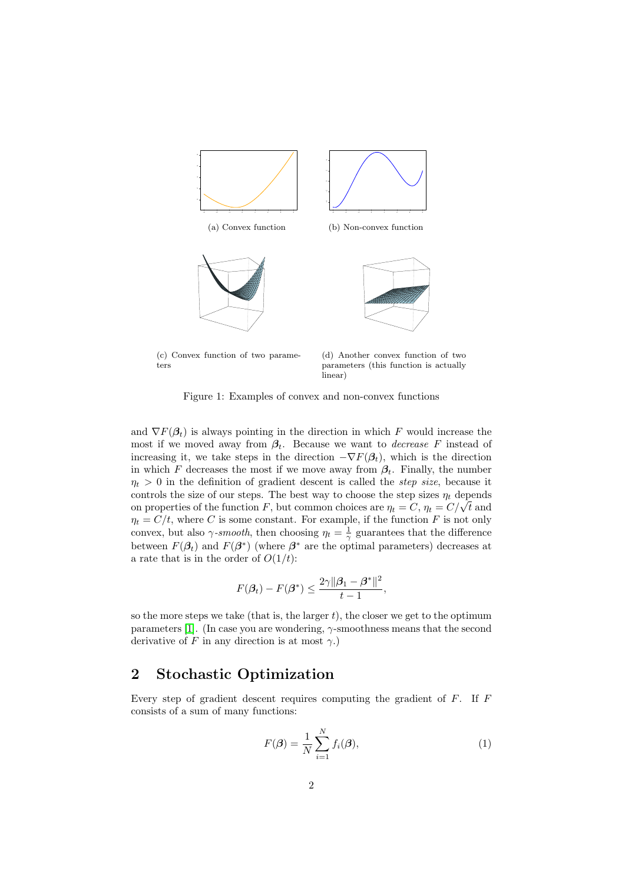<span id="page-1-0"></span>

(c) Convex function of two parameters

(d) Another convex function of two parameters (this function is actually linear)

Figure 1: Examples of convex and non-convex functions

and  $\nabla F(\beta_t)$  is always pointing in the direction in which F would increase the most if we moved away from  $\beta_t$ . Because we want to *decrease* F instead of increasing it, we take steps in the direction  $-\nabla F(\beta_t)$ , which is the direction in which F decreases the most if we move away from  $\beta_t$ . Finally, the number  $\eta_t > 0$  in the definition of gradient descent is called the *step size*, because it controls the size of our steps. The best way to choose the step sizes  $\eta_t$  depends controls the size of our steps. The best way to choose the step sizes  $\eta_t$  depends<br>on properties of the function F, but common choices are  $\eta_t = C, \eta_t = C/\sqrt{t}$  and  $\eta_t = C/t$ , where C is some constant. For example, if the function F is not only convex, but also  $\gamma$ -smooth, then choosing  $\eta_t = \frac{1}{\gamma}$  guarantees that the difference between  $F(\beta_t)$  and  $F(\beta^*)$  (where  $\beta^*$  are the optimal parameters) decreases at a rate that is in the order of  $O(1/t)$ :

$$
F(\beta_t) - F(\beta^*) \le \frac{2\gamma \|\beta_1 - \beta^*\|^2}{t-1},
$$

so the more steps we take (that is, the larger  $t$ ), the closer we get to the optimum parameters [\[1\]](#page-2-0). (In case you are wondering,  $\gamma$ -smoothness means that the second derivative of F in any direction is at most  $\gamma$ .)

## 2 Stochastic Optimization

Every step of gradient descent requires computing the gradient of  $F$ . If  $F$ consists of a sum of many functions:

<span id="page-1-1"></span>
$$
F(\boldsymbol{\beta}) = \frac{1}{N} \sum_{i=1}^{N} f_i(\boldsymbol{\beta}),
$$
\n(1)